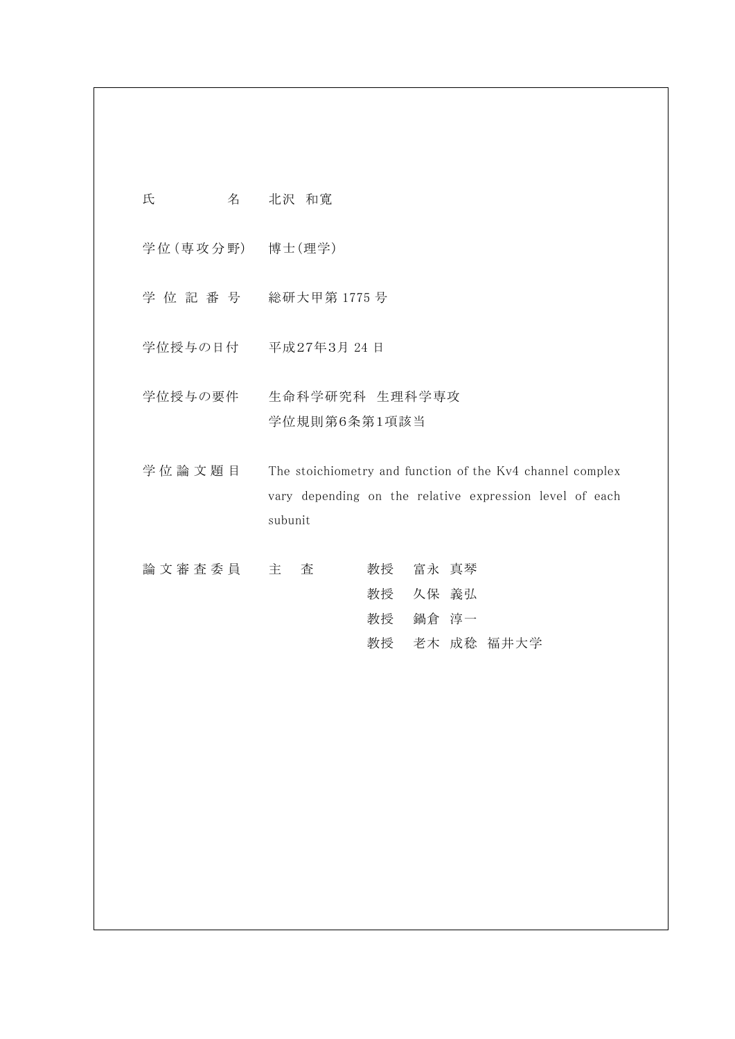| 氏               | 名 | 北沢 和寛                                                                                                                           |
|-----------------|---|---------------------------------------------------------------------------------------------------------------------------------|
| 学位(専攻分野) 博士(理学) |   |                                                                                                                                 |
| 学位記番号           |   | 総研大甲第 1775 号                                                                                                                    |
| 学位授与の日付         |   | 平成27年3月 24日                                                                                                                     |
| 学位授与の要件         |   | 生命科学研究科 生理科学専攻<br>学位規則第6条第1項該当                                                                                                  |
| 学位論文題目          |   | The stoichiometry and function of the Kv4 channel complex<br>vary depending on the relative expression level of each<br>subunit |
| 論 文 審 査 委 員     |   | 教授<br>富永 真琴<br>主<br>査<br>教授<br>久保 義弘<br>教授<br>鍋倉 淳一<br>教授 老木 成稔 福井大学                                                            |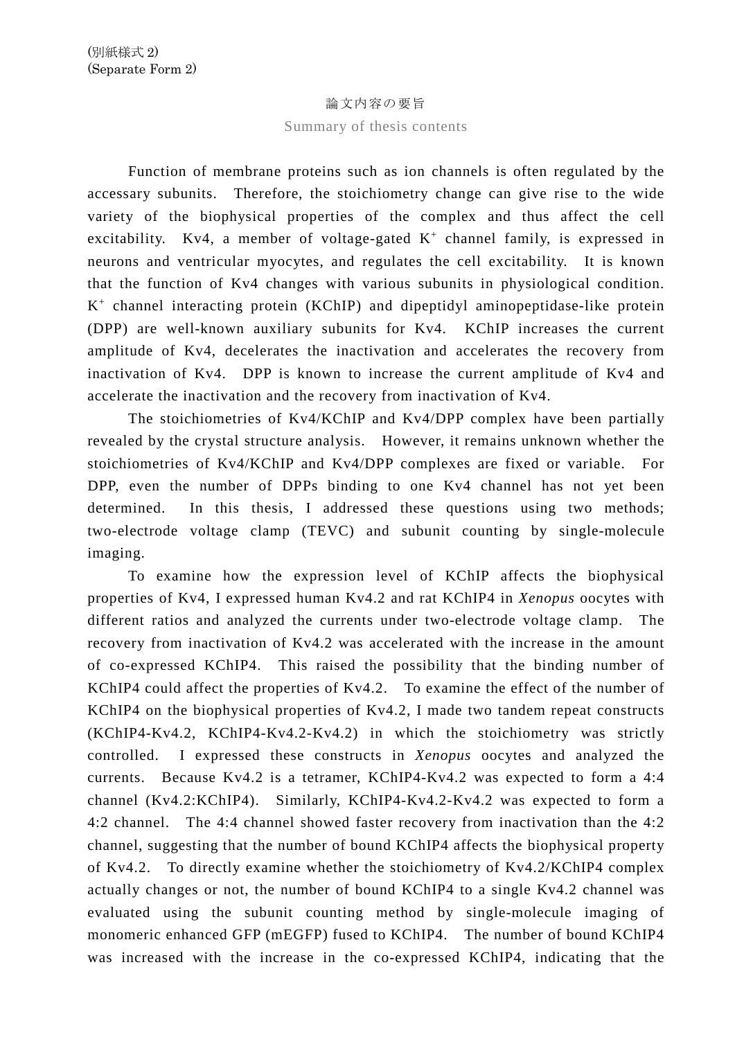## 論文内容の要旨

## Summary of thesis contents

Function of membrane proteins such as ion channels is often regulated by the accessary subunits. Therefore, the stoichiometry change can give rise to the wide variety of the biophysical properties of the complex and thus affect the cell excitability. Kv4, a member of voltage-gated  $K^+$  channel family, is expressed in neurons and ventricular myocytes, and regulates the cell excitability. It is known that the function of Kv4 changes with various subunits in physiological condition.  $K^+$  channel interacting protein (KChIP) and dipeptidyl aminopeptidase-like protein (DPP) are well-known auxiliary subunits for Kv4. KChIP increases the current amplitude of Kv4, decelerates the inactivation and accelerates the recovery from inactivation of Kv4. DPP is known to increase the current amplitude of Kv4 and accelerate the inactivation and the recovery from inactivation of Kv4.

The stoichiometries of Kv4/KChIP and Kv4/DPP complex have been partially revealed by the crystal structure analysis. However, it remains unknown whether the stoichiometries of Kv4/KChIP and Kv4/DPP complexes are fixed or variable. For DPP, even the number of DPPs binding to one Kv4 channel has not yet been determined. In this thesis, I addressed these questions using two methods; two-electrode voltage clamp (TEVC) and subunit counting by single-molecule imaging.

To examine how the expression level of KChIP affects the biophysical properties of Kv4, I expressed human Kv4.2 and rat KChIP4 in *Xenopus* oocytes with different ratios and analyzed the currents under two-electrode voltage clamp. The recovery from inactivation of Kv4.2 was accelerated with the increase in the amount of co-expressed KChIP4. This raised the possibility that the binding number of KChIP4 could affect the properties of Kv4.2. To examine the effect of the number of KChIP4 on the biophysical properties of Kv4.2, I made two tandem repeat constructs (KChIP4-Kv4.2, KChIP4-Kv4.2-Kv4.2) in which the stoichiometry was strictly controlled. I expressed these constructs in *Xenopus* oocytes and analyzed the currents. Because Kv4.2 is a tetramer, KChIP4-Kv4.2 was expected to form a 4:4 channel (Kv4.2:KChIP4). Similarly, KChIP4-Kv4.2-Kv4.2 was expected to form a 4:2 channel. The 4:4 channel showed faster recovery from inactivation than the 4:2 channel, suggesting that the number of bound KChIP4 affects the biophysical property of Kv4.2. To directly examine whether the stoichiometry of Kv4.2/KChIP4 complex actually changes or not, the number of bound KChIP4 to a single Kv4.2 channel was evaluated using the subunit counting method by single-molecule imaging of monomeric enhanced GFP (mEGFP) fused to KChIP4. The number of bound KChIP4 was increased with the increase in the co-expressed KChIP4, indicating that the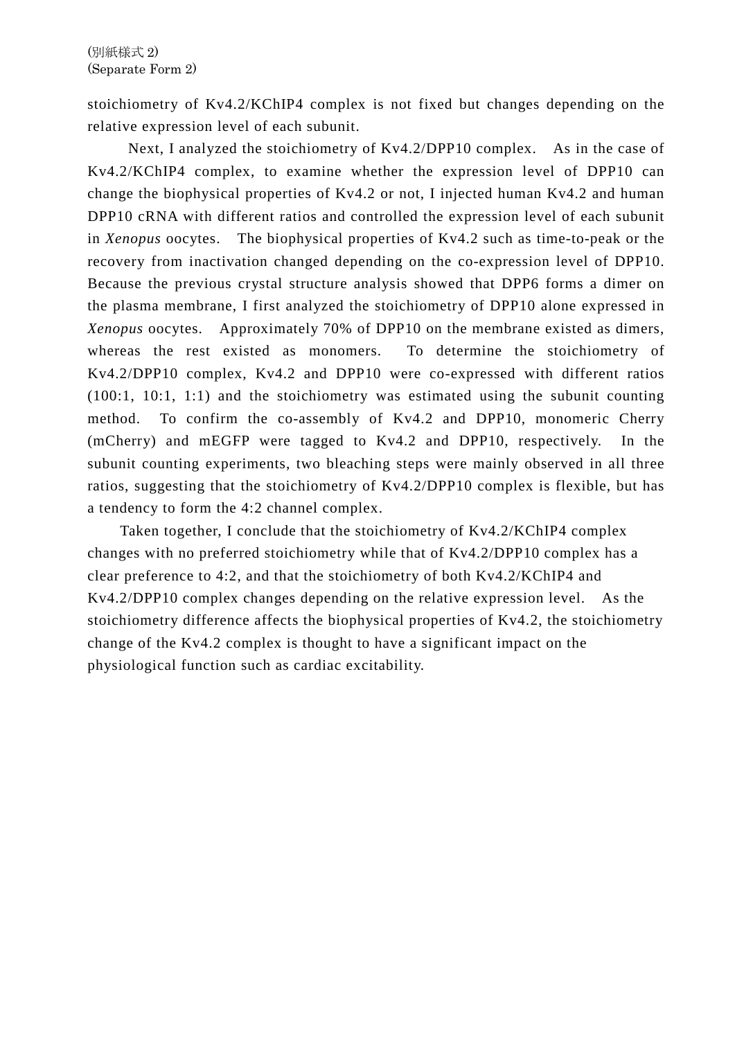stoichiometry of Kv4.2/KChIP4 complex is not fixed but changes depending on the relative expression level of each subunit.

Next, I analyzed the stoichiometry of Kv4.2/DPP10 complex. As in the case of Kv4.2/KChIP4 complex, to examine whether the expression level of DPP10 can change the biophysical properties of Kv4.2 or not, I injected human Kv4.2 and human DPP10 cRNA with different ratios and controlled the expression level of each subunit in *Xenopus* oocytes. The biophysical properties of Kv4.2 such as time-to-peak or the recovery from inactivation changed depending on the co-expression level of DPP10. Because the previous crystal structure analysis showed that DPP6 forms a dimer on the plasma membrane, I first analyzed the stoichiometry of DPP10 alone expressed in *Xenopus* oocytes. Approximately 70% of DPP10 on the membrane existed as dimers, whereas the rest existed as monomers. To determine the stoichiometry of Kv4.2/DPP10 complex, Kv4.2 and DPP10 were co-expressed with different ratios (100:1, 10:1, 1:1) and the stoichiometry was estimated using the subunit counting method. To confirm the co-assembly of Kv4.2 and DPP10, monomeric Cherry (mCherry) and mEGFP were tagged to Kv4.2 and DPP10, respectively. In the subunit counting experiments, two bleaching steps were mainly observed in all three ratios, suggesting that the stoichiometry of Kv4.2/DPP10 complex is flexible, but has a tendency to form the 4:2 channel complex.

Taken together, I conclude that the stoichiometry of Kv4.2/KChIP4 complex changes with no preferred stoichiometry while that of Kv4.2/DPP10 complex has a clear preference to 4:2, and that the stoichiometry of both Kv4.2/KChIP4 and Kv4.2/DPP10 complex changes depending on the relative expression level. As the stoichiometry difference affects the biophysical properties of Kv4.2, the stoichiometry change of the Kv4.2 complex is thought to have a significant impact on the physiological function such as cardiac excitability.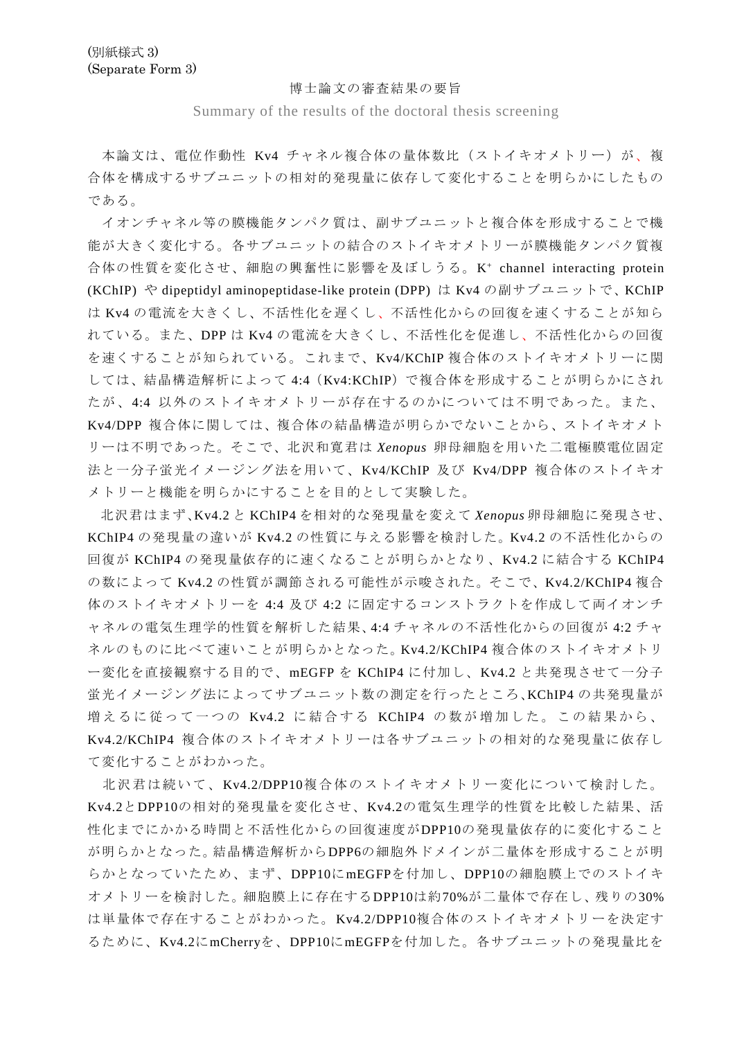## 博士論文の審査結果の要旨

Summary of the results of the doctoral thesis screening

本論文は、電位作動性 Kv4 チャネル複合体の量体数比 (ストイキオメトリー) が、複 合体を構成するサブユニットの相対的発現量に依存して変化することを明らかにしたもの である。

イオンチャネル等の膜機能タンパク質は、副サブユニットと複合体を形成することで機 能が大きく変化する。各サブユニットの結合のストイキオメトリーが膜機能タンパク質複 合体の性質を変化させ、細胞の興奮性に影響を及ぼしうる。K+ channel interacting protein (KChIP) や dipeptidyl aminopeptidase-like protein (DPP) は Kv4 の副サブユニットで、KChIP は Kv4 の電流を大きくし、不活性化を遅くし、不活性化からの回復を速くすることが知ら れている。また、DPP は Kv4 の電流を大きくし、不活性化を促進し、不活性化からの回復 を速くすることが知られている。これまで、Kv4/KChIP 複合体のストイキオメトリーに関 しては、結晶構造解析によって 4:4 (Kv4:KChIP)で複合体を形成することが明らかにされ たが、4:4 以外のストイキオメトリーが存在するのかについては不明であった。また、 Kv4/DPP 複合体に関しては、複合体の結晶構造が明らかでないことから、ストイキオメト リーは不明であった。そこで、北沢和寛君は *Xenopus* 卵母細胞を用いた二電極膜電位固定 法と一分子蛍光イメージング法を用いて、Kv4/KChIP 及び Kv4/DPP 複合体のストイキオ メトリーと機能を明らかにすることを目的として実験した。

北沢君はまず、Kv4.2 と KChIP4 を相対的な発現量を変えて *Xenopus* 卵母細胞に発現させ、 KChIP4 の発現量の違いが Kv4.2 の性質に与える影響を検討した。Kv4.2 の不活性化からの 回復が KChIP4 の発現量依存的に速くなることが明らかとなり、Kv4.2 に結合する KChIP4 の数によって Kv4.2 の性質が調節される可能性が示唆された。そこで、Kv4.2/KChIP4 複合 体のストイキオメトリーを 4:4 及び 4:2 に固定するコンストラクトを作成して両イオンチ ャネルの電気生理学的性質を解析した結果、4:4 チャネルの不活性化からの回復が 4:2 チャ ネルのものに比べて速いことが明らかとなった。Kv4.2/KChIP4 複合体のストイキオメトリ ー変化を直接観察する目的で、mEGFP を KChIP4 に付加し、Kv4.2 と共発現させて一分子 蛍光イメージング法によってサブユニット数の測定を行ったところ、KChIP4 の共発現量が 増えるに従って一つの Kv4.2 に結合する KChIP4 の数が増加した。この結果から、 Kv4.2/KChIP4 複合体のストイキオメトリーは各サブユニットの相対的な発現量に依存し て変化することがわかった。

北沢君は続いて、Kv4.2/DPP10複合体のストイキオメトリー変化について検討した。 Kv4.2とDPP10の相対的発現量を変化させ、Kv4.2の電気生理学的性質を比較した結果、活 性化までにかかる時間と不活性化からの回復速度がDPP10の発現量依存的に変化すること が明らかとなった。結晶構造解析からDPP6の細胞外ドメインが二量体を形成することが明 らかとなっていたため、まず、DPP10にmEGFPを付加し、DPP10の細胞膜上でのストイキ オメトリーを検討した。細胞膜上に存在するDPP10は約70%が二量体で存在し、残りの30% は単量体で存在することがわかった。Kv4.2/DPP10複合体のストイキオメトリーを決定す るために、Kv4.2にmCherryを、DPP10にmEGFPを付加した。各サブユニットの発現量比を